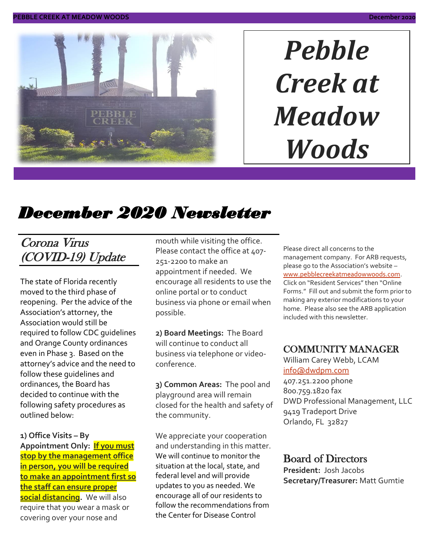

# *Pebble Creek at Meadow Woods*

## *December 2020 Newsletter*

## Corona Virus (COVID-19) Update

The state of Florida recently moved to the third phase of reopening. Per the advice of the Association's attorney, the Association would still be required to follow CDC guidelines and Orange County ordinances even in Phase 3. Based on the attorney's advice and the need to follow these guidelines and ordinances, the Board has decided to continue with the following safety procedures as outlined below:

**1) Office Visits – By Appointment Only: If you must stop by the management office in person, you will be required to make an appointment first so the staff can ensure proper social distancing.** We will also require that you wear a mask or covering over your nose and

mouth while visiting the office. Please contact the office at 407-251-2200 to make an appointment if needed. We encourage all residents to use the online portal or to conduct business via phone or email when possible.

**2) Board Meetings:** The Board will continue to conduct all business via telephone or videoconference.

**3) Common Areas:** The pool and playground area will remain closed for the health and safety of the community.

We appreciate your cooperation and understanding in this matter. We will continue to monitor the situation at the local, state, and federal level and will provide updates to you as needed. We encourage all of our residents to follow the recommendations from the Center for Disease Control

Please direct all concerns to the management company. For ARB requests, please go to the Association's website – [www.pebblecreekatmeadowwoods.com.](http://www.pebblecreekatmeadowwoods.com/) Click on "Resident Services" then "Online Forms." Fill out and submit the form prior to making any exterior modifications to your home. Please also see the ARB application included with this newsletter.

#### COMMUNITY MANAGER

William Carey Webb, LCAM [info@dwdpm.com](mailto:info@dwdpm.com) 

407.251.2200 phone 800.759.1820 fax DWD Professional Management, LLC 9419 Tradeport Drive Orlando, FL 32827

#### Board of Directors

**President:** Josh Jacobs **Secretary/Treasurer:** Matt Gumtie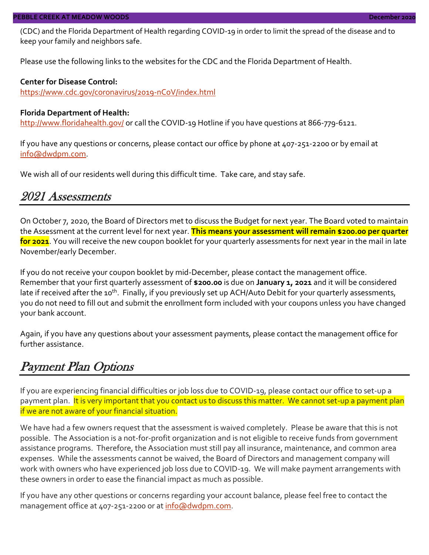(CDC) and the Florida Department of Health regarding COVID-19 in order to limit the spread of the disease and to keep your family and neighbors safe.

Please use the following links to the websites for the CDC and the Florida Department of Health.

#### **Center for Disease Control:**

<https://www.cdc.gov/coronavirus/2019-nCoV/index.html>

#### **Florida Department of Health:**

<http://www.floridahealth.gov/> or call the COVID-19 Hotline if you have questions at 866-779-6121.

If you have any questions or concerns, please contact our office by phone at 407-251-2200 or by email at [info@dwdpm.com.](mailto:info@dwdpm.com)

We wish all of our residents well during this difficult time. Take care, and stay safe.

#### 2021 Assessments

On October 7, 2020, the Board of Directors met to discuss the Budget for next year. The Board voted to maintain the Assessment at the current level for next year. **This means your assessment will remain \$200.00 per quarter for 2021**. You will receive the new coupon booklet for your quarterly assessments for next year in the mail in late November/early December.

If you do not receive your coupon booklet by mid-December, please contact the management office. Remember that your first quarterly assessment of **\$200.00** is due on **January 1, 2021** and it will be considered late if received after the 10<sup>th</sup>. Finally, if you previously set up ACH/Auto Debit for your quarterly assessments, you do not need to fill out and submit the enrollment form included with your coupons unless you have changed your bank account.

Again, if you have any questions about your assessment payments, please contact the management office for further assistance.

#### Payment Plan Options

If you are experiencing financial difficulties or job loss due to COVID-19, please contact our office to set-up a payment plan. It is very important that you contact us to discuss this matter. We cannot set-up a payment plan if we are not aware of your financial situation.

We have had a few owners request that the assessment is waived completely. Please be aware that this is not possible. The Association is a not-for-profit organization and is not eligible to receive funds from government assistance programs. Therefore, the Association must still pay all insurance, maintenance, and common area expenses. While the assessments cannot be waived, the Board of Directors and management company will work with owners who have experienced job loss due to COVID-19. We will make payment arrangements with these owners in order to ease the financial impact as much as possible.

If you have any other questions or concerns regarding your account balance, please feel free to contact the management office at 407-251-2200 or at [info@dwdpm.com.](mailto:info@dwdpm.com)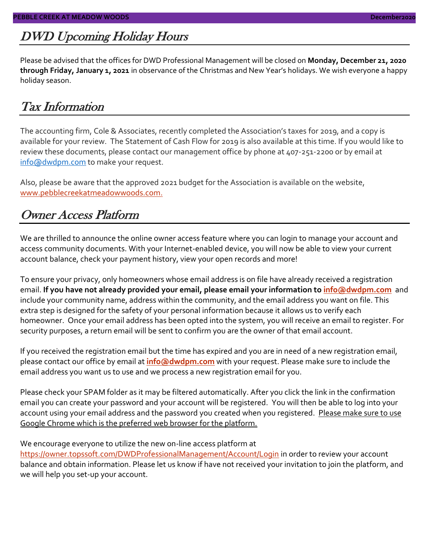## DWD Upcoming Holiday Hours

Please be advised that the offices for DWD Professional Management will be closed on **Monday, December 21, 2020 through Friday, January 1, 2021** in observance of the Christmas and New Year's holidays. We wish everyone a happy holiday season.

### Tax Information

The accounting firm, Cole & Associates, recently completed the Association's taxes for 2019, and a copy is available for your review. The Statement of Cash Flow for 2019 is also available at this time. If you would like to review these documents, please contact our management office by phone at 407-251-2200 or by email at [info@dwdpm.com](mailto:info@dwdpm.com) to make your request.

Also, please be aware that the approved 2021 budget for the Association is available on the website, [www.pebblecreekatmeadowwoods.com.](http://www.pebblecreekatmeadowwoods.com/)

#### Owner Access Platform

We are thrilled to announce the online owner access feature where you can login to manage your account and access community documents. With your Internet-enabled device, you will now be able to view your current account balance, check your payment history, view your open records and more!

To ensure your privacy, only homeowners whose email address is on file have already received a registration email. **If you have not already provided your email, please email your information to [info@dwdpm.com](mailto:info@dwdpm.com)** and include your community name, address within the community, and the email address you want on file. This extra step is designed for the safety of your personal information because it allows us to verify each homeowner. Once your email address has been opted into the system, you will receive an email to register. For security purposes, a return email will be sent to confirm you are the owner of that email account.

If you received the registration email but the time has expired and you are in need of a new registration email, please contact our office by email at **[info@dwdpm.com](mailto:info@dwdpm.com)** with your request. Please make sure to include the email address you want us to use and we process a new registration email for you.

Please check your SPAM folder as it may be filtered automatically. After you click the link in the confirmation email you can create your password and your account will be registered. You will then be able to log into your account using your email address and the password you created when you registered. Please make sure to use Google Chrome which is the preferred web browser for the platform.

#### We encourage everyone to utilize the new on-line access platform at

<https://owner.topssoft.com/DWDProfessionalManagement/Account/Login> in order to review your account balance and obtain information. Please let us know if have not received your invitation to join the platform, and we will help you set-up your account.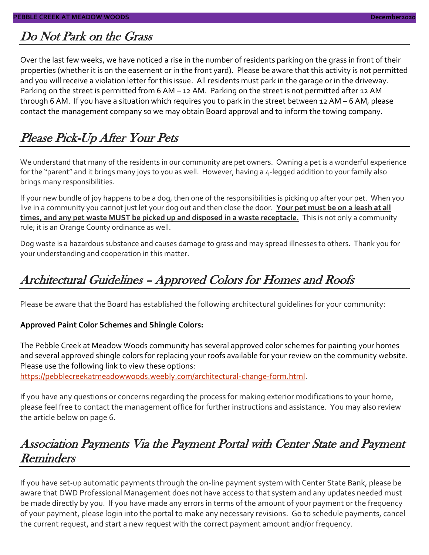#### Do Not Park on the Grass

Over the last few weeks, we have noticed a rise in the number of residents parking on the grass in front of their properties (whether it is on the easement or in the front yard). Please be aware that this activity is not permitted and you will receive a violation letter for this issue. All residents must park in the garage or in the driveway. Parking on the street is permitted from 6 AM – 12 AM. Parking on the street is not permitted after 12 AM through 6 AM. If you have a situation which requires you to park in the street between 12 AM – 6 AM, please contact the management company so we may obtain Board approval and to inform the towing company.

## Please Pick-Up After Your Pets

We understand that many of the residents in our community are pet owners. Owning a pet is a wonderful experience for the "parent" and it brings many joys to you as well. However, having a 4-legged addition to your family also brings many responsibilities.

If your new bundle of joy happens to be a dog, then one of the responsibilities is picking up after your pet. When you live in a community you cannot just let your dog out and then close the door. **Your pet must be on a leash at all times, and any pet waste MUST be picked up and disposed in a waste receptacle.** This is not only a community rule; it is an Orange County ordinance as well.

Dog waste is a hazardous substance and causes damage to grass and may spread illnesses to others. Thank you for your understanding and cooperation in this matter.

## Architectural Guidelines – Approved Colors for Homes and Roofs

Please be aware that the Board has established the following architectural guidelines for your community:

#### **Approved Paint Color Schemes and Shingle Colors:**

The Pebble Creek at Meadow Woods community has several approved color schemes for painting your homes and several approved shingle colors for replacing your roofs available for your review on the community website. Please use the following link to view these options:

[https://pebblecreekatmeadowwoods.weebly.com/architectural-change-form.html.](https://pebblecreekatmeadowwoods.weebly.com/architectural-change-form.html)

If you have any questions or concerns regarding the process for making exterior modifications to your home, please feel free to contact the management office for further instructions and assistance. You may also review the article below on page 6.

### Association Payments Via the Payment Portal with Center State and Payment **Reminders**

If you have set-up automatic payments through the on-line payment system with Center State Bank, please be aware that DWD Professional Management does not have access to that system and any updates needed must be made directly by you. If you have made any errors in terms of the amount of your payment or the frequency of your payment, please login into the portal to make any necessary revisions. Go to schedule payments, cancel the current request, and start a new request with the correct payment amount and/or frequency.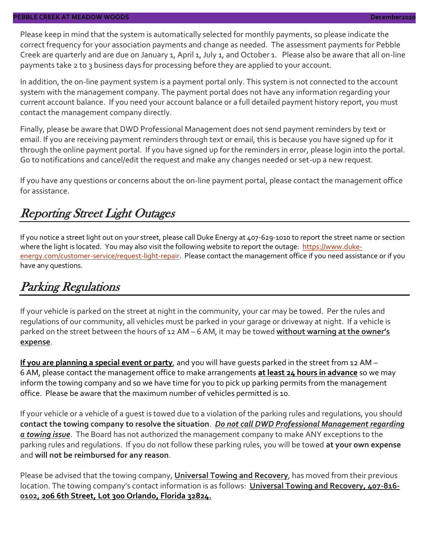Please keep in mind that the system is automatically selected for monthly payments, so please indicate the correct frequency for your association payments and change as needed. The assessment payments for Pebble Creek are quarterly and are due on January 1, April 1, July 1, and October 1. Please also be aware that all on-line payments take 2 to 3 business days for processing before they are applied to your account.

In addition, the on-line payment system is a payment portal only. This system is not connected to the account system with the management company. The payment portal does not have any information regarding your current account balance. If you need your account balance or a full detailed payment history report, you must contact the management company directly.

Finally, please be aware that DWD Professional Management does not send payment reminders by text or email. If you are receiving payment reminders through text or email, this is because you have signed up for it through the online payment portal. If you have signed up for the reminders in error, please login into the portal. Go to notifications and cancel/edit the request and make any changes needed or set-up a new request.

If you have any questions or concerns about the on-line payment portal, please contact the management office for assistance.

### Reporting Street Light Outages

If you notice a street light out on your street, please call Duke Energy at 407-629-1010 to report the street name or section where the light is located. You may also visit the following website to report the outage: [https://www.duke](https://www.duke-energy.com/customer-service/request-light-repair)[energy.com/customer-service/request-light-repair.](https://www.duke-energy.com/customer-service/request-light-repair) Please contact the management office if you need assistance or if you have any questions.

## Parking Regulations

If your vehicle is parked on the street at night in the community, your car may be towed. Per the rules and regulations of our community, all vehicles must be parked in your garage or driveway at night. If a vehicle is parked on the street between the hours of 12 AM – 6 AM, it may be towed **without warning at the owner's expense**.

**If you are planning a special event or party**, and you will have guests parked in the street from 12 AM – 6 AM, please contact the management office to make arrangements **at least 24 hours in advance** so we may inform the towing company and so we have time for you to pick up parking permits from the management office. Please be aware that the maximum number of vehicles permitted is 10.

If your vehicle or a vehicle of a guest is towed due to a violation of the parking rules and regulations, you should **contact the towing company to resolve the situation**. *Do not call DWD Professional Management regarding a towing issue*. The Board has not authorized the management company to make ANY exceptions to the parking rules and regulations. If you do not follow these parking rules, you will be towed **at your own expense** and **will not be reimbursed for any reason**.

Please be advised that the towing company, **Universal Towing and Recovery**, has moved from their previous location. The towing company's contact information is as follows: **Universal Towing and Recovery, 407-816- 0102, 206 6th Street, Lot 300 Orlando, Florida 32824.**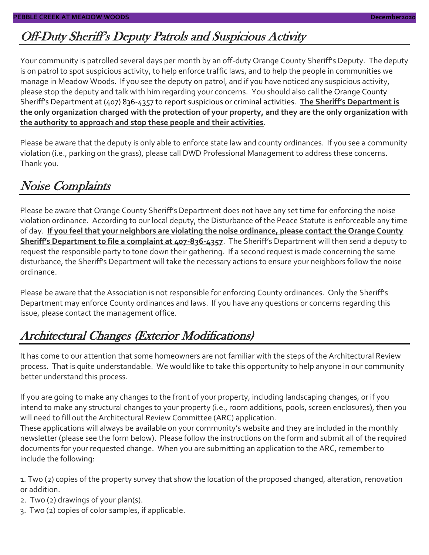## Off-Duty Sheriff's Deputy Patrols and Suspicious Activity

Your community is patrolled several days per month by an off-duty Orange County Sheriff's Deputy. The deputy is on patrol to spot suspicious activity, to help enforce traffic laws, and to help the people in communities we manage in Meadow Woods. If you see the deputy on patrol, and if you have noticed any suspicious activity, please stop the deputy and talk with him regarding your concerns. You should also call the Orange County Sheriff's Department at (407) 836-4357 to report suspicious or criminal activities. **The Sheriff's Department is the only organization charged with the protection of your property, and they are the only organization with the authority to approach and stop these people and their activities**.

Please be aware that the deputy is only able to enforce state law and county ordinances. If you see a community violation (i.e., parking on the grass), please call DWD Professional Management to address these concerns. Thank you.

## Noise Complaints

Please be aware that Orange County Sheriff's Department does not have any set time for enforcing the noise violation ordinance. According to our local deputy, the Disturbance of the Peace Statute is enforceable any time of day. **If you feel that your neighbors are violating the noise ordinance, please contact the Orange County Sheriff's Department to file a complaint at 407-836-4357**. The Sheriff's Department will then send a deputy to request the responsible party to tone down their gathering. If a second request is made concerning the same disturbance, the Sheriff's Department will take the necessary actions to ensure your neighbors follow the noise ordinance.

Please be aware that the Association is not responsible for enforcing County ordinances. Only the Sheriff's Department may enforce County ordinances and laws. If you have any questions or concerns regarding this issue, please contact the management office.

## Architectural Changes (Exterior Modifications)

It has come to our attention that some homeowners are not familiar with the steps of the Architectural Review process. That is quite understandable. We would like to take this opportunity to help anyone in our community better understand this process.

If you are going to make any changes to the front of your property, including landscaping changes, or if you intend to make any structural changes to your property (i.e., room additions, pools, screen enclosures), then you will need to fill out the Architectural Review Committee (ARC) application.

These applications will always be available on your community's website and they are included in the monthly newsletter (please see the form below). Please follow the instructions on the form and submit all of the required documents for your requested change. When you are submitting an application to the ARC, remember to include the following:

1. Two (2) copies of the property survey that show the location of the proposed changed, alteration, renovation or addition.

- 2. Two (2) drawings of your plan(s).
- 3. Two (2) copies of color samples, if applicable.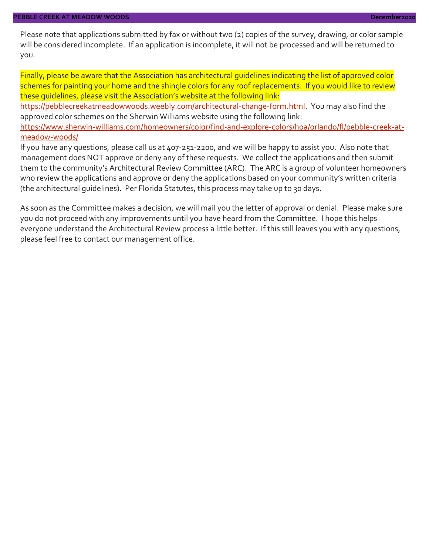Please note that applications submitted by fax or without two (2) copies of the survey, drawing, or color sample will be considered incomplete. If an application is incomplete, it will not be processed and will be returned to you.

Finally, please be aware that the Association has architectural guidelines indicating the list of approved color schemes for painting your home and the shingle colors for any roof replacements. If you would like to review these guidelines, please visit the Association's website at the following link:

[https://pebblecreekatmeadowwoods.weebly.com/architectural-change-form.html.](https://pebblecreekatmeadowwoods.weebly.com/architectural-change-form.html) You may also find the approved color schemes on the Sherwin Williams website using the following link:

[https://www.sherwin-williams.com/homeowners/color/find-and-explore-colors/hoa/orlando/fl/pebble-creek-at](https://www.sherwin-williams.com/homeowners/color/find-and-explore-colors/hoa/orlando/fl/pebble-creek-at-meadow-woods/)[meadow-woods/](https://www.sherwin-williams.com/homeowners/color/find-and-explore-colors/hoa/orlando/fl/pebble-creek-at-meadow-woods/)

If you have any questions, please call us at 407-251-2200, and we will be happy to assist you. Also note that management does NOT approve or deny any of these requests. We collect the applications and then submit them to the community's Architectural Review Committee (ARC). The ARC is a group of volunteer homeowners who review the applications and approve or deny the applications based on your community's written criteria (the architectural guidelines). Per Florida Statutes, this process may take up to 30 days.

As soon as the Committee makes a decision, we will mail you the letter of approval or denial. Please make sure you do not proceed with any improvements until you have heard from the Committee. I hope this helps everyone understand the Architectural Review process a little better. If this still leaves you with any questions, please feel free to contact our management office.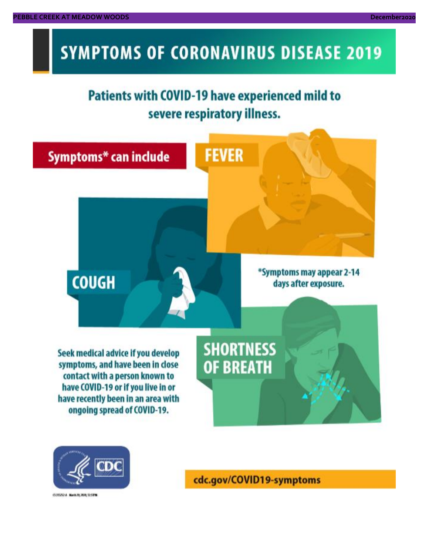## **SYMPTOMS OF CORONAVIRUS DISEASE 2019**

## **Patients with COVID-19 have experienced mild to** severe respiratory illness.





03/02/14 Novis 20, 2020, 12:59 W

cdc.gov/COVID19-symptoms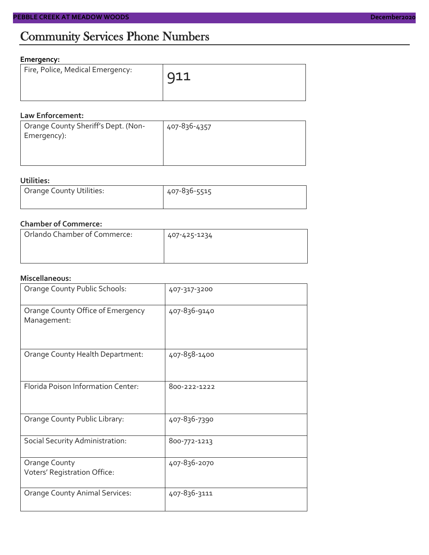#### **Emergency:**

| Fire, Police, Medical Emergency: | $\sqrt{911}$ |
|----------------------------------|--------------|
|                                  |              |

#### **Law Enforcement:**

| Orange County Sheriff's Dept. (Non-<br>Emergency): | 407-836-4357 |
|----------------------------------------------------|--------------|
|                                                    |              |
|                                                    |              |

#### **Utilities:**

| Orange County Utilities: | 407-836-5515 |  |  |
|--------------------------|--------------|--|--|
|                          |              |  |  |

#### **Chamber of Commerce:**

| Orlando Chamber of Commerce: | 407-425-1234 |
|------------------------------|--------------|
|                              |              |
|                              |              |

#### **Miscellaneous:**

| Orange County Public Schools:                        | 407-317-3200 |
|------------------------------------------------------|--------------|
| Orange County Office of Emergency<br>Management:     | 407-836-9140 |
| Orange County Health Department:                     | 407-858-1400 |
| Florida Poison Information Center:                   | 800-222-1222 |
| Orange County Public Library:                        | 407-836-7390 |
| Social Security Administration:                      | 800-772-1213 |
| <b>Orange County</b><br>Voters' Registration Office: | 407-836-2070 |
| <b>Orange County Animal Services:</b>                | 407-836-3111 |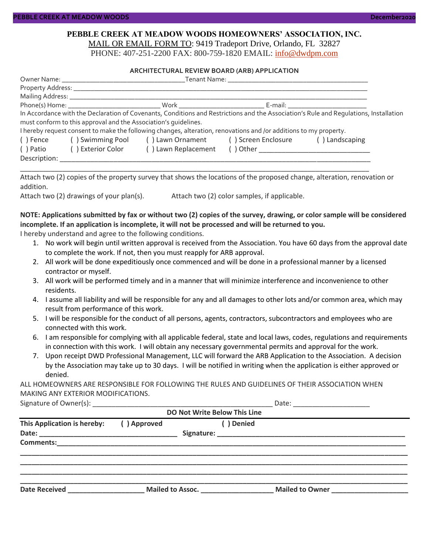#### **PEBBLE CREEK AT MEADOW WOODS HOMEOWNERS' ASSOCIATION, INC.** MAIL OR EMAIL FORM TO: 9419 Tradeport Drive, Orlando, FL 32827

PHONE: 407-251-2200 FAX: 800-759-1820 EMAIL: [info@dwdpm.com](mailto:info@dwdpm.com)

#### **ARCHITECTURAL REVIEW BOARD (ARB) APPLICATION**

|                                | Owner Name: The contract of the contract of the contract of the contract of the contract of the contract of the contract of the contract of the contract of the contract of the contract of the contract of the contract of th |                                                                                                                   | <b>Tenant Name:</b> The account of the contract of the contract of the contract of the contract of the contract of the contract of the contract of the contract of the contract of the contract of the contract of the contract of |                                                                                                                                       |  |
|--------------------------------|--------------------------------------------------------------------------------------------------------------------------------------------------------------------------------------------------------------------------------|-------------------------------------------------------------------------------------------------------------------|------------------------------------------------------------------------------------------------------------------------------------------------------------------------------------------------------------------------------------|---------------------------------------------------------------------------------------------------------------------------------------|--|
|                                |                                                                                                                                                                                                                                |                                                                                                                   |                                                                                                                                                                                                                                    |                                                                                                                                       |  |
| Mailing Address: _____________ |                                                                                                                                                                                                                                |                                                                                                                   |                                                                                                                                                                                                                                    |                                                                                                                                       |  |
|                                |                                                                                                                                                                                                                                |                                                                                                                   | E-mail: ___________________________                                                                                                                                                                                                |                                                                                                                                       |  |
|                                |                                                                                                                                                                                                                                |                                                                                                                   |                                                                                                                                                                                                                                    | In Accordance with the Declaration of Covenants, Conditions and Restrictions and the Association's Rule and Regulations, Installation |  |
|                                | must conform to this approval and the Association's quidelines.                                                                                                                                                                |                                                                                                                   |                                                                                                                                                                                                                                    |                                                                                                                                       |  |
|                                |                                                                                                                                                                                                                                | I hereby request consent to make the following changes, alteration, renovations and /or additions to my property. |                                                                                                                                                                                                                                    |                                                                                                                                       |  |
| ( ) Fence                      |                                                                                                                                                                                                                                | () Swimming Pool () Lawn Ornament () Screen Enclosure                                                             |                                                                                                                                                                                                                                    | () Landscaping                                                                                                                        |  |
| ( ) Patio                      | ( ) Exterior Color                                                                                                                                                                                                             | () Lawn Replacement                                                                                               |                                                                                                                                                                                                                                    |                                                                                                                                       |  |
| Description:                   |                                                                                                                                                                                                                                |                                                                                                                   |                                                                                                                                                                                                                                    |                                                                                                                                       |  |

\_\_\_\_\_\_\_\_\_\_\_\_\_\_\_\_\_\_\_\_\_\_\_\_\_\_\_\_\_\_\_\_\_\_\_\_\_\_\_\_\_\_\_\_\_\_\_\_\_\_\_\_\_\_\_\_\_\_\_\_\_\_\_\_\_\_\_\_\_\_\_\_\_\_\_\_\_\_\_\_\_\_\_\_\_\_\_\_\_\_\_ Attach two (2) copies of the property survey that shows the locations of the proposed change, alteration, renovation or addition.

Attach two (2) drawings of your plan(s). Attach two (2) color samples, if applicable.

#### **NOTE: Applications submitted by fax or without two (2) copies of the survey, drawing, or color sample will be considered incomplete. If an application is incomplete, it will not be processed and will be returned to you.**

I hereby understand and agree to the following conditions.

- 1. No work will begin until written approval is received from the Association. You have 60 days from the approval date to complete the work. If not, then you must reapply for ARB approval.
- 2. All work will be done expeditiously once commenced and will be done in a professional manner by a licensed contractor or myself.
- 3. All work will be performed timely and in a manner that will minimize interference and inconvenience to other residents.
- 4. I assume all liability and will be responsible for any and all damages to other lots and/or common area, which may result from performance of this work.
- 5. I will be responsible for the conduct of all persons, agents, contractors, subcontractors and employees who are connected with this work.
- 6. I am responsible for complying with all applicable federal, state and local laws, codes, regulations and requirements in connection with this work. I will obtain any necessary governmental permits and approval for the work.
- 7. Upon receipt DWD Professional Management, LLC will forward the ARB Application to the Association. A decision by the Association may take up to 30 days. I will be notified in writing when the application is either approved or denied.

ALL HOMEOWNERS ARE RESPONSIBLE FOR FOLLOWING THE RULES AND GUIDELINES OF THEIR ASSOCIATION WHEN MAKING ANY EXTERIOR MODIFICATIONS.

| Signature of Owner(s):<br>______ |  |
|----------------------------------|--|
|----------------------------------|--|

| () Approved | ( ) Denied |                                                                         |
|-------------|------------|-------------------------------------------------------------------------|
|             |            |                                                                         |
|             |            |                                                                         |
|             |            |                                                                         |
|             |            |                                                                         |
|             |            | Mailed to Assoc.<br>Mailed to Owner<br><u>Landon American Mailed by</u> |